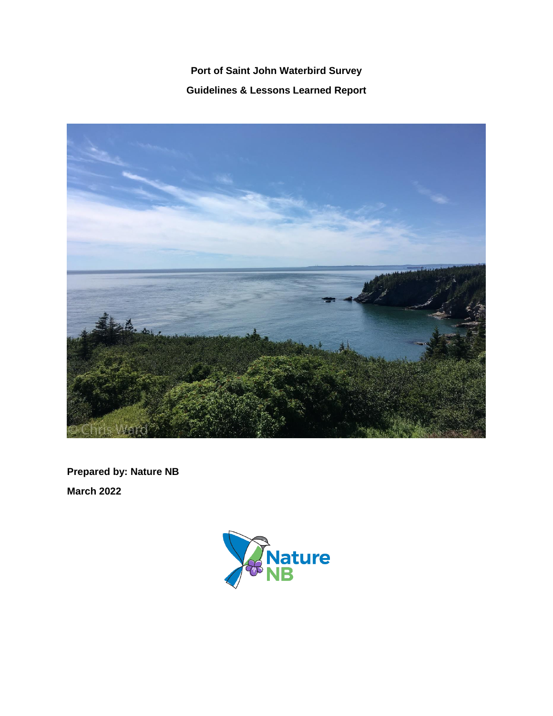# **Port of Saint John Waterbird Survey Guidelines & Lessons Learned Report**



**Prepared by: Nature NB March 2022**

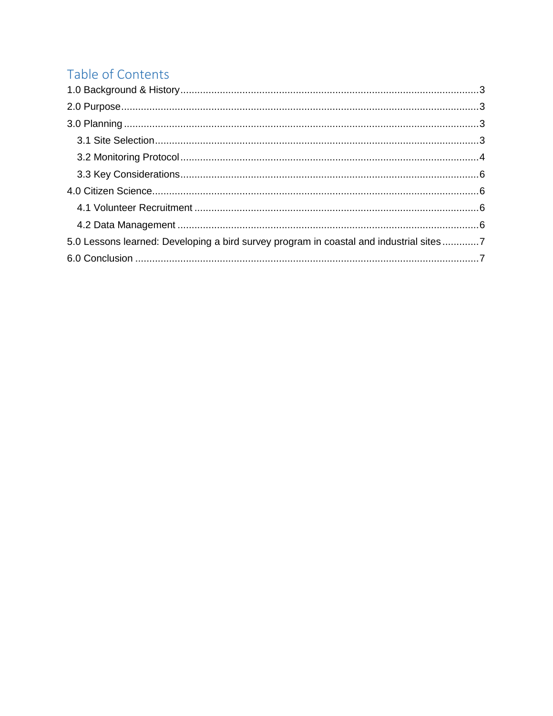# Table of Contents

| 5.0 Lessons learned: Developing a bird survey program in coastal and industrial sites 7 |  |
|-----------------------------------------------------------------------------------------|--|
|                                                                                         |  |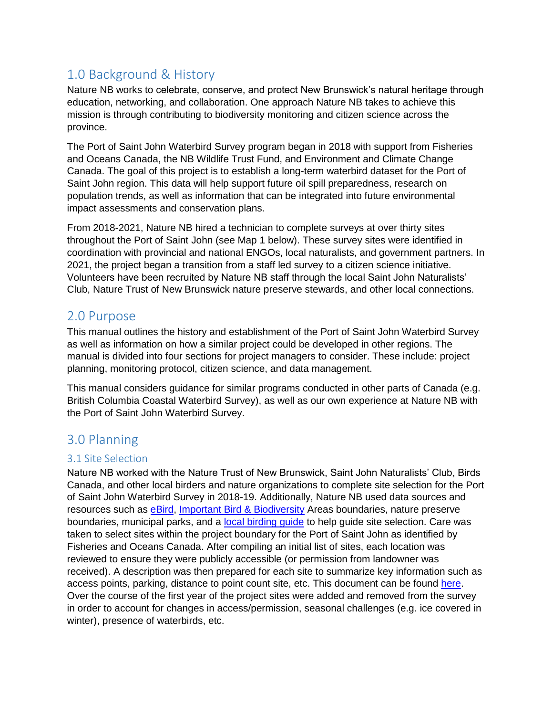# <span id="page-2-0"></span>1.0 Background & History

Nature NB works to celebrate, conserve, and protect New Brunswick's natural heritage through education, networking, and collaboration. One approach Nature NB takes to achieve this mission is through contributing to biodiversity monitoring and citizen science across the province.

The Port of Saint John Waterbird Survey program began in 2018 with support from Fisheries and Oceans Canada, the NB Wildlife Trust Fund, and Environment and Climate Change Canada. The goal of this project is to establish a long-term waterbird dataset for the Port of Saint John region. This data will help support future oil spill preparedness, research on population trends, as well as information that can be integrated into future environmental impact assessments and conservation plans.

From 2018-2021, Nature NB hired a technician to complete surveys at over thirty sites throughout the Port of Saint John (see Map 1 below). These survey sites were identified in coordination with provincial and national ENGOs, local naturalists, and government partners. In 2021, the project began a transition from a staff led survey to a citizen science initiative. Volunteers have been recruited by Nature NB staff through the local Saint John Naturalists' Club, Nature Trust of New Brunswick nature preserve stewards, and other local connections.

### <span id="page-2-1"></span>2.0 Purpose

This manual outlines the history and establishment of the Port of Saint John Waterbird Survey as well as information on how a similar project could be developed in other regions. The manual is divided into four sections for project managers to consider. These include: project planning, monitoring protocol, citizen science, and data management.

This manual considers guidance for similar programs conducted in other parts of Canada (e.g. British Columbia Coastal Waterbird Survey), as well as our own experience at Nature NB with the Port of Saint John Waterbird Survey.

### <span id="page-2-2"></span>3.0 Planning

#### <span id="page-2-3"></span>3.1 Site Selection

Nature NB worked with the Nature Trust of New Brunswick, Saint John Naturalists' Club, Birds Canada, and other local birders and nature organizations to complete site selection for the Port of Saint John Waterbird Survey in 2018-19. Additionally, Nature NB used data sources and resources such as [eBird,](https://ebird.org/canada/home) [Important Bird & Biodiversity](https://ibacanada.org/) Areas boundaries, nature preserve boundaries, municipal parks, and a local birding quide to help quide site selection. Care was taken to select sites within the project boundary for the Port of Saint John as identified by Fisheries and Oceans Canada. After compiling an initial list of sites, each location was reviewed to ensure they were publicly accessible (or permission from landowner was received). A description was then prepared for each site to summarize key information such as access points, parking, distance to point count site, etc. This document can be found [here.](https://docs.google.com/document/d/1gtFMM_TKctpJzbRdDWCdhHWF-lbKlT1c/edit?usp=sharing&ouid=108274946614345398578&rtpof=true&sd=true) Over the course of the first year of the project sites were added and removed from the survey in order to account for changes in access/permission, seasonal challenges (e.g. ice covered in winter), presence of waterbirds, etc.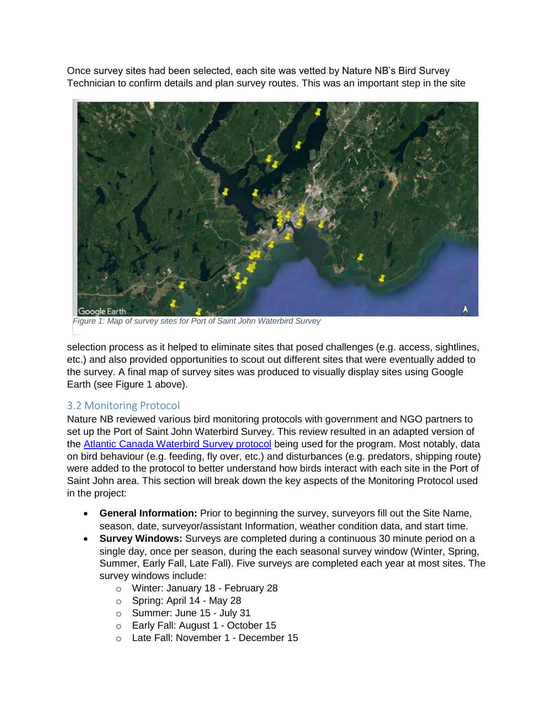Once survey sites had been selected, each site was vetted by Nature NB's Bird Survey Technician to confirm details and plan survey routes. This was an important step in the site



*Figure 1: Map of survey sites for Port of Saint John Waterbird Survey*

selection process as it helped to eliminate sites that posed challenges (e.g. access, sightlines, etc.) and also provided opportunities to scout out different sites that were eventually added to the survey. A final map of survey sites was produced to visually display sites using Google Earth (see Figure 1 above).

### <span id="page-3-0"></span>3.2 Monitoring Protocol

Nature NB reviewed various bird monitoring protocols with government and NGO partners to set up the Port of Saint John Waterbird Survey. This review resulted in an adapted version of the [Atlantic Canada Waterbird Survey protocol](https://www.oiseauxcanada.org/naturecounts/accws/main.jsp) being used for the program. Most notably, data on bird behaviour (e.g. feeding, fly over, etc.) and disturbances (e.g. predators, shipping route) were added to the protocol to better understand how birds interact with each site in the Port of Saint John area. This section will break down the key aspects of the Monitoring Protocol used in the project:

- **General Information:** Prior to beginning the survey, surveyors fill out the Site Name, season, date, surveyor/assistant Information, weather condition data, and start time.
- **Survey Windows:** Surveys are completed during a continuous 30 minute period on a single day, once per season, during the each seasonal survey window (Winter, Spring, Summer, Early Fall, Late Fall). Five surveys are completed each year at most sites. The survey windows include:
	- o Winter: January 18 February 28
	- o Spring: April 14 May 28
	- o Summer: June 15 July 31
	- o Early Fall: August 1 October 15
	- o Late Fall: November 1 December 15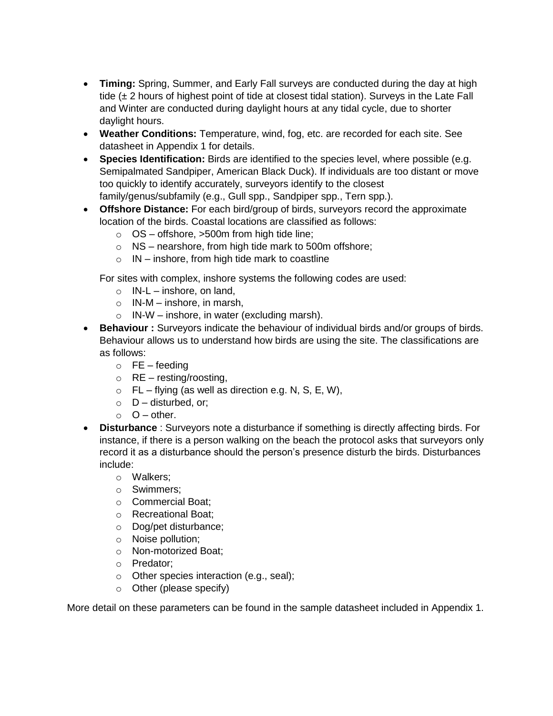- **Timing:** Spring, Summer, and Early Fall surveys are conducted during the day at high tide (± 2 hours of highest point of tide at closest tidal station). Surveys in the Late Fall and Winter are conducted during daylight hours at any tidal cycle, due to shorter daylight hours.
- **Weather Conditions:** Temperature, wind, fog, etc. are recorded for each site. See datasheet in Appendix 1 for details.
- **Species Identification:** Birds are identified to the species level, where possible (e.g. Semipalmated Sandpiper, American Black Duck). If individuals are too distant or move too quickly to identify accurately, surveyors identify to the closest family/genus/subfamily (e.g., Gull spp., Sandpiper spp., Tern spp.).
- **Offshore Distance:** For each bird/group of birds, surveyors record the approximate location of the birds. Coastal locations are classified as follows:
	- o OS offshore, >500m from high tide line;
	- o NS nearshore, from high tide mark to 500m offshore;
	- $\circ$  IN inshore, from high tide mark to coastline

For sites with complex, inshore systems the following codes are used:

- $\circ$  IN-L inshore, on land,
- $\circ$  IN-M inshore, in marsh,
- $\circ$  IN-W inshore, in water (excluding marsh).
- **Behaviour :** Surveyors indicate the behaviour of individual birds and/or groups of birds. Behaviour allows us to understand how birds are using the site. The classifications are as follows:
	- $\circ$  FE feeding
	- $\circ$  RE resting/roosting,
	- $\circ$  FL flying (as well as direction e.g. N, S, E, W),
	- $\circ$  D disturbed, or;
	- $\circ$   $O$  other.
- **Disturbance** : Surveyors note a disturbance if something is directly affecting birds. For instance, if there is a person walking on the beach the protocol asks that surveyors only record it as a disturbance should the person's presence disturb the birds. Disturbances include:
	- o Walkers;
	- o Swimmers;
	- o Commercial Boat;
	- o Recreational Boat;
	- o Dog/pet disturbance;
	- o Noise pollution;
	- o Non-motorized Boat;
	- o Predator;
	- o Other species interaction (e.g., seal);
	- o Other (please specify)

More detail on these parameters can be found in the sample datasheet included in Appendix 1.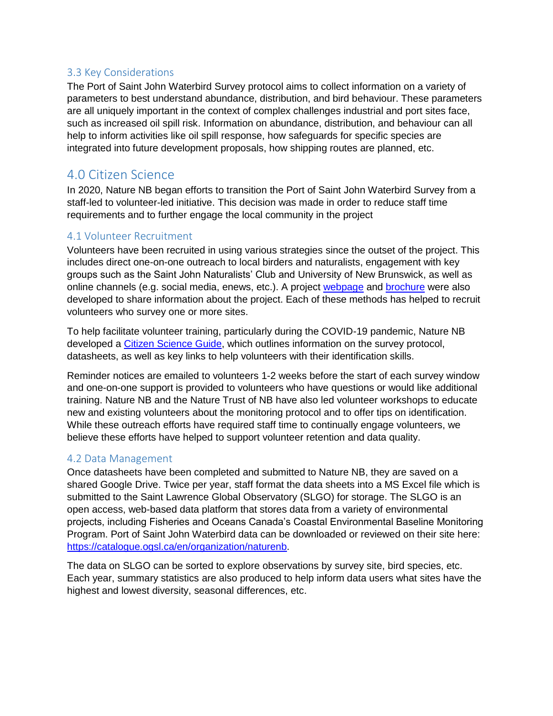#### <span id="page-5-0"></span>3.3 Key Considerations

The Port of Saint John Waterbird Survey protocol aims to collect information on a variety of parameters to best understand abundance, distribution, and bird behaviour. These parameters are all uniquely important in the context of complex challenges industrial and port sites face, such as increased oil spill risk. Information on abundance, distribution, and behaviour can all help to inform activities like oil spill response, how safeguards for specific species are integrated into future development proposals, how shipping routes are planned, etc.

## <span id="page-5-1"></span>4.0 Citizen Science

In 2020, Nature NB began efforts to transition the Port of Saint John Waterbird Survey from a staff-led to volunteer-led initiative. This decision was made in order to reduce staff time requirements and to further engage the local community in the project

#### <span id="page-5-2"></span>4.1 Volunteer Recruitment

Volunteers have been recruited in using various strategies since the outset of the project. This includes direct one-on-one outreach to local birders and naturalists, engagement with key groups such as the Saint John Naturalists' Club and University of New Brunswick, as well as online channels (e.g. social media, enews, etc.). A project [webpage](https://www.naturenb.ca/port-of-saint-john-waterbird-survey/) and [brochure](https://www.naturenb.ca/wp-content/uploads/2021/08/DFO-Brochure-EN.pdf) were also developed to share information about the project. Each of these methods has helped to recruit volunteers who survey one or more sites.

To help facilitate volunteer training, particularly during the COVID-19 pandemic, Nature NB developed a [Citizen Science Guide,](https://www.naturenb.ca/wp-content/uploads/2021/09/Citizen-Science-Guide-Waterbird-Surveys-Nature-NB-EN.pdf) which outlines information on the survey protocol, datasheets, as well as key links to help volunteers with their identification skills.

Reminder notices are emailed to volunteers 1-2 weeks before the start of each survey window and one-on-one support is provided to volunteers who have questions or would like additional training. Nature NB and the Nature Trust of NB have also led volunteer workshops to educate new and existing volunteers about the monitoring protocol and to offer tips on identification. While these outreach efforts have required staff time to continually engage volunteers, we believe these efforts have helped to support volunteer retention and data quality.

#### <span id="page-5-3"></span>4.2 Data Management

Once datasheets have been completed and submitted to Nature NB, they are saved on a shared Google Drive. Twice per year, staff format the data sheets into a MS Excel file which is submitted to the Saint Lawrence Global Observatory (SLGO) for storage. The SLGO is an open access, web-based data platform that stores data from a variety of environmental projects, including Fisheries and Oceans Canada's Coastal Environmental Baseline Monitoring Program. Port of Saint John Waterbird data can be downloaded or reviewed on their site here: [https://catalogue.ogsl.ca/en/organization/naturenb.](https://catalogue.ogsl.ca/en/organization/naturenb)

The data on SLGO can be sorted to explore observations by survey site, bird species, etc. Each year, summary statistics are also produced to help inform data users what sites have the highest and lowest diversity, seasonal differences, etc.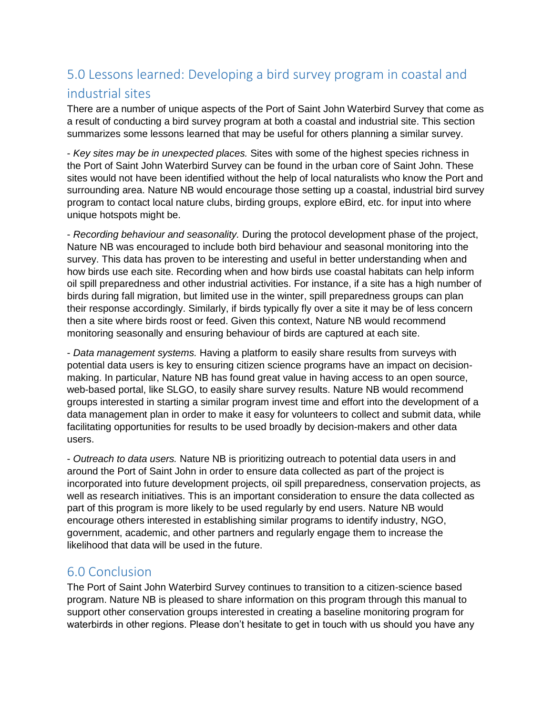# <span id="page-6-0"></span>5.0 Lessons learned: Developing a bird survey program in coastal and industrial sites

There are a number of unique aspects of the Port of Saint John Waterbird Survey that come as a result of conducting a bird survey program at both a coastal and industrial site. This section summarizes some lessons learned that may be useful for others planning a similar survey.

- *Key sites may be in unexpected places.* Sites with some of the highest species richness in the Port of Saint John Waterbird Survey can be found in the urban core of Saint John. These sites would not have been identified without the help of local naturalists who know the Port and surrounding area. Nature NB would encourage those setting up a coastal, industrial bird survey program to contact local nature clubs, birding groups, explore eBird, etc. for input into where unique hotspots might be.

- *Recording behaviour and seasonality.* During the protocol development phase of the project, Nature NB was encouraged to include both bird behaviour and seasonal monitoring into the survey. This data has proven to be interesting and useful in better understanding when and how birds use each site. Recording when and how birds use coastal habitats can help inform oil spill preparedness and other industrial activities. For instance, if a site has a high number of birds during fall migration, but limited use in the winter, spill preparedness groups can plan their response accordingly. Similarly, if birds typically fly over a site it may be of less concern then a site where birds roost or feed. Given this context, Nature NB would recommend monitoring seasonally and ensuring behaviour of birds are captured at each site.

- *Data management systems.* Having a platform to easily share results from surveys with potential data users is key to ensuring citizen science programs have an impact on decisionmaking. In particular, Nature NB has found great value in having access to an open source, web-based portal, like SLGO, to easily share survey results. Nature NB would recommend groups interested in starting a similar program invest time and effort into the development of a data management plan in order to make it easy for volunteers to collect and submit data, while facilitating opportunities for results to be used broadly by decision-makers and other data users.

- *Outreach to data users.* Nature NB is prioritizing outreach to potential data users in and around the Port of Saint John in order to ensure data collected as part of the project is incorporated into future development projects, oil spill preparedness, conservation projects, as well as research initiatives. This is an important consideration to ensure the data collected as part of this program is more likely to be used regularly by end users. Nature NB would encourage others interested in establishing similar programs to identify industry, NGO, government, academic, and other partners and regularly engage them to increase the likelihood that data will be used in the future.

### <span id="page-6-1"></span>6.0 Conclusion

The Port of Saint John Waterbird Survey continues to transition to a citizen-science based program. Nature NB is pleased to share information on this program through this manual to support other conservation groups interested in creating a baseline monitoring program for waterbirds in other regions. Please don't hesitate to get in touch with us should you have any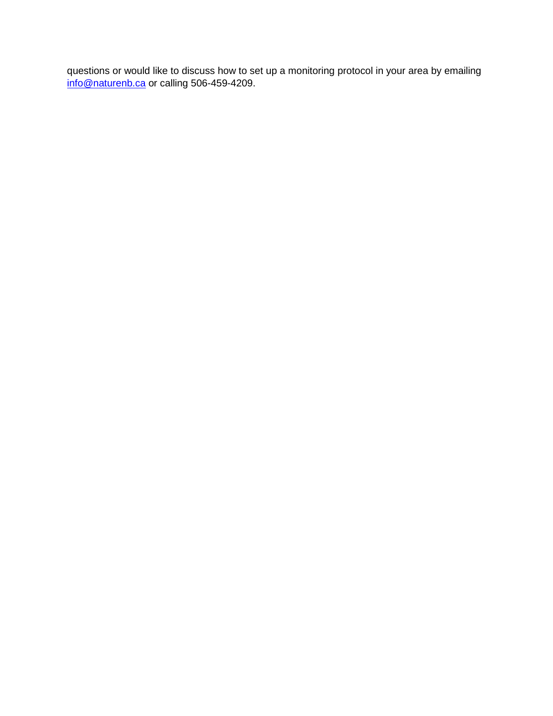questions or would like to discuss how to set up a monitoring protocol in your area by emailing [info@naturenb.ca](mailto:info@naturenb.ca) or calling 506-459-4209.